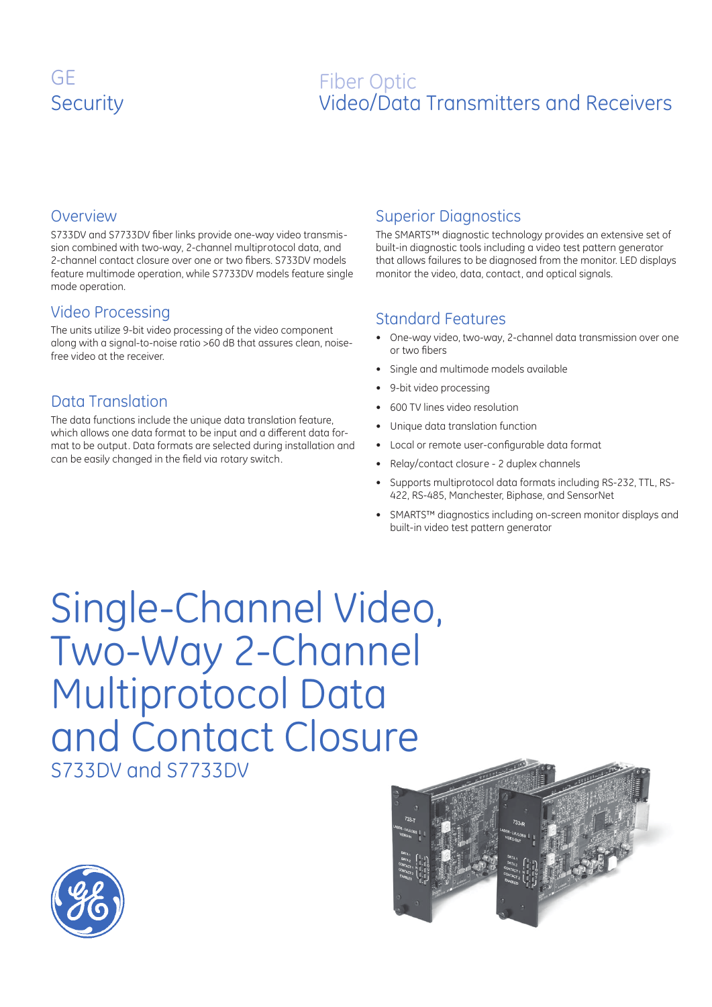### GE GE **Security**

# SecurityFiber Optic Video/Data Transmitters and Receivers

#### Overview

S733DV and S7733DV fiber links provide one-way video transmission combined with two-way, 2-channel multiprotocol data, and 2-channel contact closure over one or two fibers. S733DV models feature multimode operation, while S7733DV models feature single mode operation.

### Video Processing

The units utilize 9-bit video processing of the video component along with a signal-to-noise ratio >60 dB that assures clean, noisefree video at the receiver.

### Data Translation

The data functions include the unique data translation feature, which allows one data format to be input and a different data format to be output. Data formats are selected during installation and can be easily changed in the field via rotary switch.

### Superior Diagnostics

The SMARTS™ diagnostic technology provides an extensive set of built-in diagnostic tools including a video test pattern generator that allows failures to be diagnosed from the monitor. LED displays monitor the video, data, contact, and optical signals.

### Standard Features

- One-way video, two-way, 2-channel data transmission over one or two fibers •
- Single and multimode models available •
- 9-bit video processing •
- 600 TV lines video resolution •
- Unique data translation function •
- Local or remote user-configurable data format •
- Relay/contact closure 2 duplex channels •
- Supports multiprotocol data formats including RS-232, TTL, RS-422, RS-485, Manchester, Biphase, and SensorNet •
- SMARTS™ diagnostics including on-screen monitor displays and built-in video test pattern generator •

Single-Channel Video, Two-Way 2-Channel Multiprotocol Data and Contact Closure S733DV and S7733DV